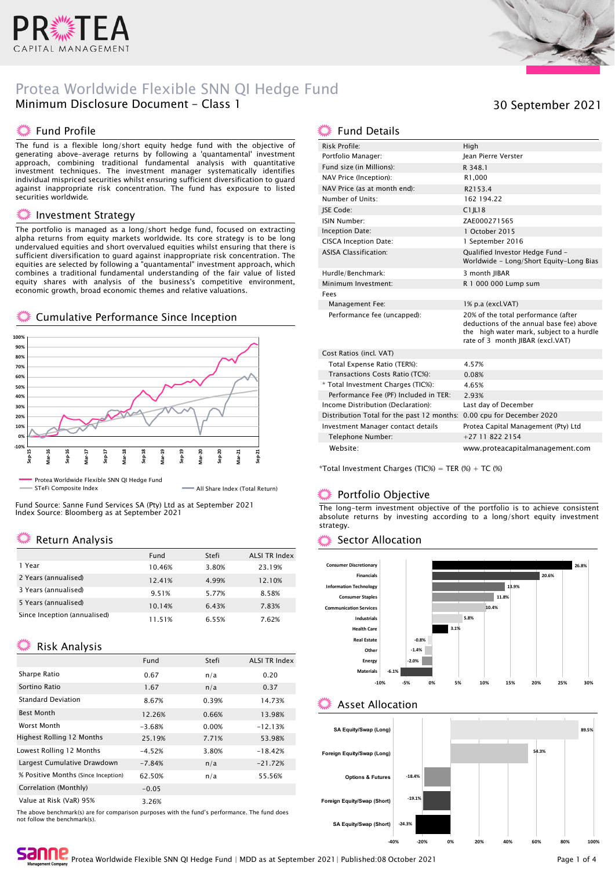

# Protea Worldwide Flexible SNN QI Hedge Fund Minimum Disclosure Document - Class 1

#### ▓ Fund Profile

The fund is a flexible long/short equity hedge fund with the objective of generating above-average returns by following a 'quantamental' investment approach, combining traditional fundamental analysis with quantitative investment techniques. The investment manager systematically identifies individual mispriced securities whilst ensuring sufficient diversification to guard against inappropriate risk concentration. The fund has exposure to listed securities worldwide.

#### Investment Strategy

The portfolio is managed as a long/short hedge fund, focused on extracting alpha returns from equity markets worldwide. Its core strategy is to be long undervalued equities and short overvalued equities whilst ensuring that there is sufficient diversification to guard against inappropriate risk concentration. The equities are selected by following a "quantamental" investment approach, which combines a traditional fundamental understanding of the fair value of listed equity shares with analysis of the business's competitive environment, economic growth, broad economic themes and relative valuations.

#### Cumulative Performance Since Inception



STeFi Composite Index All Share Index (Total Return)

Fund Source: Sanne Fund Services SA (Pty) Ltd as at September 2021 Index Source: Bloomberg as at September 2021

# **※ Return Analysis**

|                              | Fund   | Stefi | <b>ALSI TR Index</b> |
|------------------------------|--------|-------|----------------------|
| 1 Year                       | 10.46% | 3.80% | 23.19%               |
| 2 Years (annualised)         | 12.41% | 4.99% | 12.10%               |
| 3 Years (annualised)         | 9.51%  | 5.77% | 8.58%                |
| 5 Years (annualised)         | 10.14% | 6.43% | 7.83%                |
| Since Inception (annualised) | 11.51% | 6.55% | 7.62%                |

### **Kisk Analysis**

|                                     | Fund     | Stefi | <b>ALSI TR Index</b> |
|-------------------------------------|----------|-------|----------------------|
| Sharpe Ratio                        | 0.67     | n/a   | 0.20                 |
| Sortino Ratio                       | 1.67     | n/a   | 0.37                 |
| <b>Standard Deviation</b>           | 8.67%    | 0.39% | 14.73%               |
| <b>Best Month</b>                   | 12.26%   | 0.66% | 13.98%               |
| Worst Month                         | $-3.68%$ | 0.00% | $-12.13%$            |
| <b>Highest Rolling 12 Months</b>    | 25.19%   | 7.71% | 53.98%               |
| Lowest Rolling 12 Months            | $-4.52%$ | 3.80% | $-18.42%$            |
| Largest Cumulative Drawdown         | $-7.84%$ | n/a   | $-21.72%$            |
| % Positive Months (Since Inception) | 62.50%   | n/a   | 55.56%               |
| Correlation (Monthly)               | $-0.05$  |       |                      |
| Value at Risk (VaR) 95%             | 3.26%    |       |                      |

The above benchmark(s) are for comparison purposes with the fund's performance. The fund does not follow the benchmark(s).



| Risk Profile:                                                         | High                                                                                                                                                            |
|-----------------------------------------------------------------------|-----------------------------------------------------------------------------------------------------------------------------------------------------------------|
| Portfolio Manager:                                                    | <b>Iean Pierre Verster</b>                                                                                                                                      |
| Fund size (in Millions):                                              | R 348.1                                                                                                                                                         |
| NAV Price (Inception):                                                | R1,000                                                                                                                                                          |
| NAV Price (as at month end):                                          | R2153.4                                                                                                                                                         |
| Number of Units:                                                      | 162 194.22                                                                                                                                                      |
| <b>ISE Code:</b>                                                      | $C1$ IL18                                                                                                                                                       |
| ISIN Number:                                                          | ZAE000271565                                                                                                                                                    |
| Inception Date:                                                       | 1 October 2015                                                                                                                                                  |
| <b>CISCA Inception Date:</b>                                          | 1 September 2016                                                                                                                                                |
| <b>ASISA Classification:</b>                                          | Qualified Investor Hedge Fund -<br>Worldwide - Long/Short Equity-Long Bias                                                                                      |
| Hurdle/Benchmark:                                                     | 3 month IIBAR                                                                                                                                                   |
| Minimum Investment:                                                   | R 1 000 000 Lump sum                                                                                                                                            |
| Fees                                                                  |                                                                                                                                                                 |
| Management Fee:                                                       | 1% p.a (excl.VAT)                                                                                                                                               |
| Performance fee (uncapped):                                           | 20% of the total performance (after<br>deductions of the annual base fee) above<br>the high water mark, subject to a hurdle<br>rate of 3 month JIBAR (excl.VAT) |
| Cost Ratios (incl. VAT)                                               |                                                                                                                                                                 |
| Total Expense Ratio (TER%):                                           | 4.57%                                                                                                                                                           |
| Transactions Costs Ratio (TC%):                                       | 0.08%                                                                                                                                                           |
| * Total Investment Charges (TIC%):                                    | 4.65%                                                                                                                                                           |
| Performance Fee (PF) Included in TER:                                 | 2.93%                                                                                                                                                           |
| Income Distribution (Declaration):                                    | Last day of December                                                                                                                                            |
| Distribution Total for the past 12 months: 0.00 cpu for December 2020 |                                                                                                                                                                 |
| Investment Manager contact details                                    | Protea Capital Management (Pty) Ltd                                                                                                                             |
| Telephone Number:                                                     | $+27118222154$                                                                                                                                                  |
| Website:                                                              | www.proteacapitalmanagement.com                                                                                                                                 |

\*Total Investment Charges (TIC%) = TER  $%$  + TC  $%$ 

#### Portfolio Objective

The long-term investment objective of the portfolio is to achieve consistent absolute returns by investing according to a long/short equity investment strategy.

#### Sector Allocation



### Asset Allocation



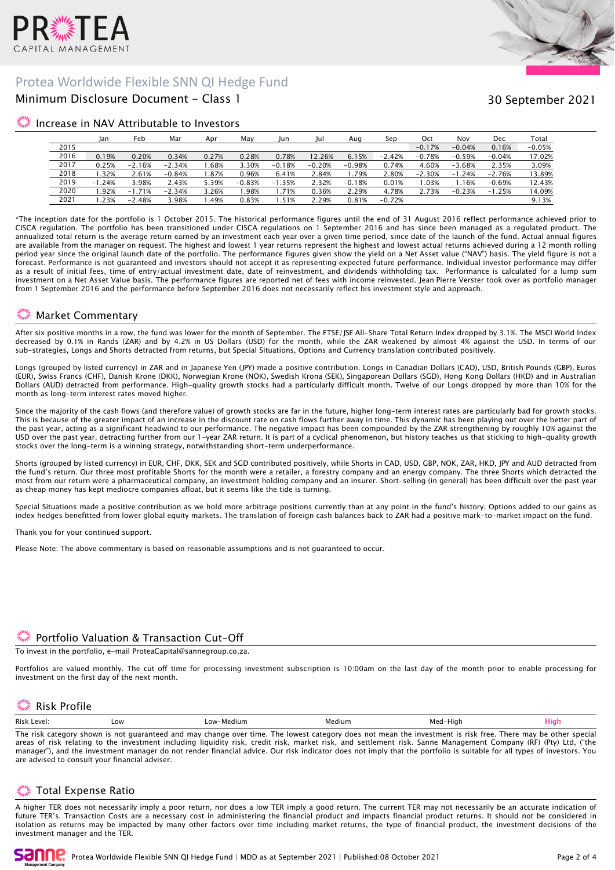

# Protea Worldwide Flexible SNN QI Hedge Fund

# Minimum Disclosure Document - Class 1

# 30 September 2021

#### Increase in NAV Attributable to Investors

|      | Jan      | Feb      | Mar      | Apr   | May      | Jun      | Jul      | Aug      | Sep      | Oct      | Nov          | Dec      | Total    |
|------|----------|----------|----------|-------|----------|----------|----------|----------|----------|----------|--------------|----------|----------|
| 2015 |          |          |          |       |          |          |          |          |          | $-0.17%$ | $-0.04%$     | 0.16%    | $-0.05%$ |
| 2016 | 0.19%    | 0.20%    | 0.34%    | 0.27% | 0.28%    | 0.78%    | 12.26%   | 6.15%    | $-2.42%$ | $-0.78%$ | $-0.59%$     | $-0.04%$ | 17.02%   |
| 2017 | 0.25%    | $-2.16%$ | $-2.34%$ | .68%  | 3.30%    | $-0.18%$ | $-0.20%$ | $-0.98%$ | 0.74%    | 4.60%    | $-3.68%$     | 2.35%    | 3.09%    |
| 2018 | .32%     | 2.61%    | $-0.84%$ | .87%  | 0.96%    | 6.41%    | 2.84%    | .79%     | 2.80%    | $-2.30%$ | .24%<br>$-1$ | $-2.76%$ | 13.89%   |
| 2019 | $-1.24%$ | 3.98%    | 2.43%    | 5.39% | $-0.83%$ | $-1.35%$ | 2.32%    | $-0.18%$ | 0.01%    | .03%     | 1.16%        | $-0.69%$ | 12.43%   |
| 2020 | .92%     | $-1.71%$ | $-2.34%$ | 3.26% | .98%     | 1.71%    | 0.36%    | 2.29%    | 4.78%    | 2.73%    | $-0.23%$     | $-1.25%$ | 14.09%   |
| 2021 | .23%     | $-2.48%$ | 3.98%    | .49%  | 0.83%    | .51%     | 2.29%    | 0.81%    | $-0.72%$ |          |              |          | 9.13%    |

\*The inception date for the portfolio is 1 October 2015. The historical performance figures until the end of 31 August 2016 reflect performance achieved prior to CISCA regulation. The portfolio has been transitioned under CISCA regulations on 1 September 2016 and has since been managed as a regulated product. The annualized total return is the average return earned by an investment each year over a given time period, since date of the launch of the fund. Actual annual figures are available from the manager on request. The highest and lowest 1 year returns represent the highest and lowest actual returns achieved during a 12 month rolling period year since the original launch date of the portfolio. The performance figures given show the yield on a Net Asset value ("NAV") basis. The yield figure is not a forecast. Performance is not guaranteed and investors should not accept it as representing expected future performance. Individual investor performance may differ as a result of initial fees, time of entry/actual investment date, date of reinvestment, and dividends withholding tax. Performance is calculated for a lump sum investment on a Net Asset Value basis. The performance figures are reported net of fees with income reinvested. Jean Pierre Verster took over as portfolio manager from 1 September 2016 and the performance before September 2016 does not necessarily reflect his investment style and approach.

### Market Commentary

After six positive months in a row, the fund was lower for the month of September. The FTSE/JSE All-Share Total Return Index dropped by 3.1%. The MSCI World Index decreased by 0.1% in Rands (ZAR) and by 4.2% in US Dollars (USD) for the month, while the ZAR weakened by almost 4% against the USD. In terms of our sub-strategies, Longs and Shorts detracted from returns, but Special Situations, Options and Currency translation contributed positively.

Longs (grouped by listed currency) in ZAR and in Japanese Yen (JPY) made a positive contribution. Longs in Canadian Dollars (CAD), USD, British Pounds (GBP), Euros (EUR), Swiss Francs (CHF), Danish Krone (DKK), Norwegian Krone (NOK), Swedish Krona (SEK), Singaporean Dollars (SGD), Hong Kong Dollars (HKD) and in Australian Dollars (AUD) detracted from performance. High-quality growth stocks had a particularly difficult month. Twelve of our Longs dropped by more than 10% for the month as long-term interest rates moved higher.

Since the majority of the cash flows (and therefore value) of growth stocks are far in the future, higher long-term interest rates are particularly bad for growth stocks. This is because of the greater impact of an increase in the discount rate on cash flows further away in time. This dynamic has been playing out over the better part of the past year, acting as a significant headwind to our performance. The negative impact has been compounded by the ZAR strengthening by roughly 10% against the USD over the past year, detracting further from our 1-year ZAR return. It is part of a cyclical phenomenon, but history teaches us that sticking to high-quality growth stocks over the long-term is a winning strategy, notwithstanding short-term underperformance.

Shorts (grouped by listed currency) in EUR, CHF, DKK, SEK and SGD contributed positively, while Shorts in CAD, USD, GBP, NOK, ZAR, HKD, JPY and AUD detracted from the fund's return. Our three most profitable Shorts for the month were a retailer, a forestry company and an energy company. The three Shorts which detracted the most from our return were a pharmaceutical company, an investment holding company and an insurer. Short-selling (in general) has been difficult over the past year as cheap money has kept mediocre companies afloat, but it seems like the tide is turning.

Special Situations made a positive contribution as we hold more arbitrage positions currently than at any point in the fund's history. Options added to our gains as index hedges benefitted from lower global equity markets. The translation of foreign cash balances back to ZAR had a positive mark-to-market impact on the fund.

Thank you for your continued support.

Please Note: The above commentary is based on reasonable assumptions and is not guaranteed to occur.

### Portfolio Valuation & Transaction Cut-Off

To invest in the portfolio, e-mail ProteaCapital@sannegroup.co.za.

Portfolios are valued monthly. The cut off time for processing investment subscription is 10:00am on the last day of the month prior to enable processing for investment on the first day of the next month.

# Risk Profile

| Ris<br>$\triangle M$ | Low | ашт<br>$-0.09$ | าเนทา | ''i∩h |  |
|----------------------|-----|----------------|-------|-------|--|
|                      |     |                |       |       |  |

The risk category shown is not guaranteed and may change over time. The lowest category does not mean the investment is risk free. There may be other special areas of risk relating to the investment including liquidity risk, credit risk, market risk, and settlement risk. Sanne Management Company (RF) (Pty) Ltd, ("the manager"), and the investment manager do not render financial advice. Our risk indicator does not imply that the portfolio is suitable for all types of investors. You are advised to consult your financial adviser.

# Total Expense Ratio

A higher TER does not necessarily imply a poor return, nor does a low TER imply a good return. The current TER may not necessarily be an accurate indication of future TER's. Transaction Costs are a necessary cost in administering the financial product and impacts financial product returns. It should not be considered in isolation as returns may be impacted by many other factors over time including market returns, the type of financial product, the investment decisions of the investment manager and the TER.

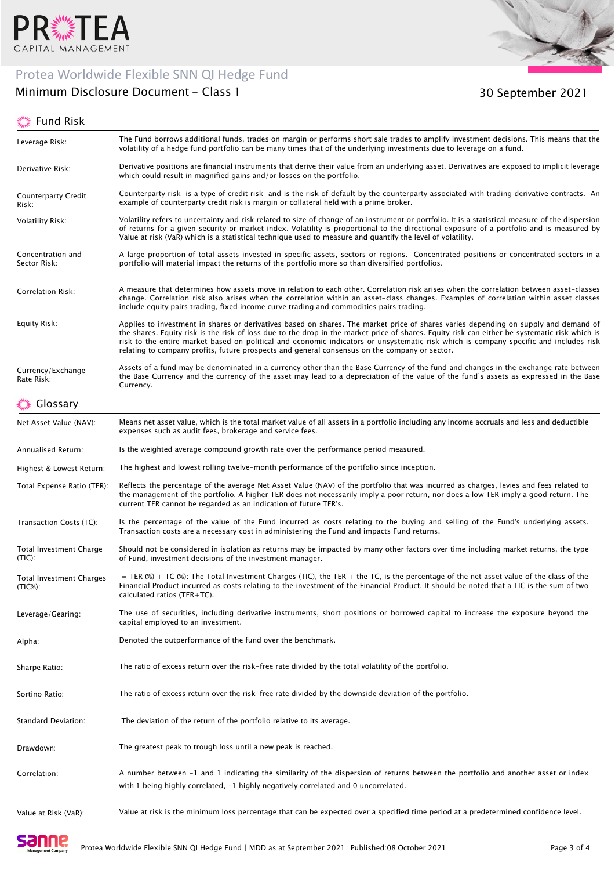

# Protea Worldwide Flexible SNN QI Hedge Fund

# Minimum Disclosure Document - Class 1

# ूं Fund Risk



30 September 2021

| Leverage Risk:                                | The Fund borrows additional funds, trades on margin or performs short sale trades to amplify investment decisions. This means that the<br>volatility of a hedge fund portfolio can be many times that of the underlying investments due to leverage on a fund.                                                                                                                                                                                                                                                                 |
|-----------------------------------------------|--------------------------------------------------------------------------------------------------------------------------------------------------------------------------------------------------------------------------------------------------------------------------------------------------------------------------------------------------------------------------------------------------------------------------------------------------------------------------------------------------------------------------------|
| Derivative Risk:                              | Derivative positions are financial instruments that derive their value from an underlying asset. Derivatives are exposed to implicit leverage<br>which could result in magnified gains and/or losses on the portfolio.                                                                                                                                                                                                                                                                                                         |
| <b>Counterparty Credit</b><br>Risk:           | Counterparty risk is a type of credit risk and is the risk of default by the counterparty associated with trading derivative contracts. An<br>example of counterparty credit risk is margin or collateral held with a prime broker.                                                                                                                                                                                                                                                                                            |
| <b>Volatility Risk:</b>                       | Volatility refers to uncertainty and risk related to size of change of an instrument or portfolio. It is a statistical measure of the dispersion<br>of returns for a given security or market index. Volatility is proportional to the directional exposure of a portfolio and is measured by<br>Value at risk (VaR) which is a statistical technique used to measure and quantify the level of volatility.                                                                                                                    |
| Concentration and<br>Sector Risk:             | A large proportion of total assets invested in specific assets, sectors or regions. Concentrated positions or concentrated sectors in a<br>portfolio will material impact the returns of the portfolio more so than diversified portfolios.                                                                                                                                                                                                                                                                                    |
| Correlation Risk:                             | A measure that determines how assets move in relation to each other. Correlation risk arises when the correlation between asset-classes<br>change. Correlation risk also arises when the correlation within an asset-class changes. Examples of correlation within asset classes<br>include equity pairs trading, fixed income curve trading and commodities pairs trading.                                                                                                                                                    |
| Equity Risk:                                  | Applies to investment in shares or derivatives based on shares. The market price of shares varies depending on supply and demand of<br>the shares. Equity risk is the risk of loss due to the drop in the market price of shares. Equity risk can either be systematic risk which is<br>risk to the entire market based on political and economic indicators or unsystematic risk which is company specific and includes risk<br>relating to company profits, future prospects and general consensus on the company or sector. |
| Currency/Exchange<br>Rate Risk:               | Assets of a fund may be denominated in a currency other than the Base Currency of the fund and changes in the exchange rate between<br>the Base Currency and the currency of the asset may lead to a depreciation of the value of the fund's assets as expressed in the Base<br>Currency.                                                                                                                                                                                                                                      |
| Glossary                                      |                                                                                                                                                                                                                                                                                                                                                                                                                                                                                                                                |
| Net Asset Value (NAV):                        | Means net asset value, which is the total market value of all assets in a portfolio including any income accruals and less and deductible<br>expenses such as audit fees, brokerage and service fees.                                                                                                                                                                                                                                                                                                                          |
| Annualised Return:                            | Is the weighted average compound growth rate over the performance period measured.                                                                                                                                                                                                                                                                                                                                                                                                                                             |
| Highest & Lowest Return:                      | The highest and lowest rolling twelve-month performance of the portfolio since inception.                                                                                                                                                                                                                                                                                                                                                                                                                                      |
| Total Expense Ratio (TER):                    | Reflects the percentage of the average Net Asset Value (NAV) of the portfolio that was incurred as charges, levies and fees related to<br>the management of the portfolio. A higher TER does not necessarily imply a poor return, nor does a low TER imply a good return. The<br>current TER cannot be regarded as an indication of future TER's.                                                                                                                                                                              |
| Transaction Costs (TC):                       | Is the percentage of the value of the Fund incurred as costs relating to the buying and selling of the Fund's underlying assets.<br>Transaction costs are a necessary cost in administering the Fund and impacts Fund returns.                                                                                                                                                                                                                                                                                                 |
| <b>Total Investment Charge</b><br>(TIC):      | Should not be considered in isolation as returns may be impacted by many other factors over time including market returns, the type<br>of Fund, investment decisions of the investment manager.                                                                                                                                                                                                                                                                                                                                |
| <b>Total Investment Charges</b><br>$(TIC%)$ : | = TER (%) + TC (%): The Total Investment Charges (TIC), the TER + the TC, is the percentage of the net asset value of the class of the<br>Financial Product incurred as costs relating to the investment of the Financial Product. It should be noted that a TIC is the sum of two<br>calculated ratios (TER+TC).                                                                                                                                                                                                              |
| Leverage/Gearing:                             | The use of securities, including derivative instruments, short positions or borrowed capital to increase the exposure beyond the<br>capital employed to an investment.                                                                                                                                                                                                                                                                                                                                                         |
| Alpha:                                        | Denoted the outperformance of the fund over the benchmark.                                                                                                                                                                                                                                                                                                                                                                                                                                                                     |
| Sharpe Ratio:                                 | The ratio of excess return over the risk-free rate divided by the total volatility of the portfolio.                                                                                                                                                                                                                                                                                                                                                                                                                           |
| Sortino Ratio:                                | The ratio of excess return over the risk-free rate divided by the downside deviation of the portfolio.                                                                                                                                                                                                                                                                                                                                                                                                                         |
| Standard Deviation:                           | The deviation of the return of the portfolio relative to its average.                                                                                                                                                                                                                                                                                                                                                                                                                                                          |
| Drawdown:                                     | The greatest peak to trough loss until a new peak is reached.                                                                                                                                                                                                                                                                                                                                                                                                                                                                  |
| Correlation:                                  | A number between -1 and 1 indicating the similarity of the dispersion of returns between the portfolio and another asset or index<br>with 1 being highly correlated, $-1$ highly negatively correlated and 0 uncorrelated.                                                                                                                                                                                                                                                                                                     |
| Value at Risk (VaR):                          | Value at risk is the minimum loss percentage that can be expected over a specified time period at a predetermined confidence level.                                                                                                                                                                                                                                                                                                                                                                                            |